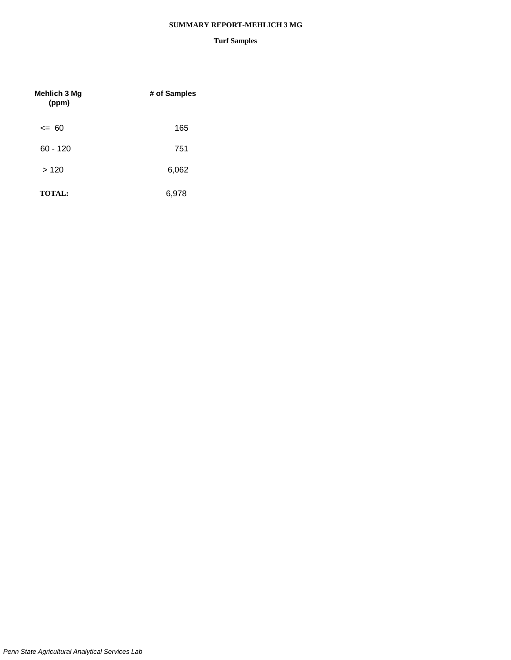#### **SUMMARY REPORT-MEHLICH 3 MG**

| <b>Mehlich 3 Mg</b><br>(ppm) | # of Samples |
|------------------------------|--------------|
| $\leq$ 60                    | 165          |
| $60 - 120$                   | 751          |
| >120                         | 6,062        |
| <b>TOTAL:</b>                | 6,978        |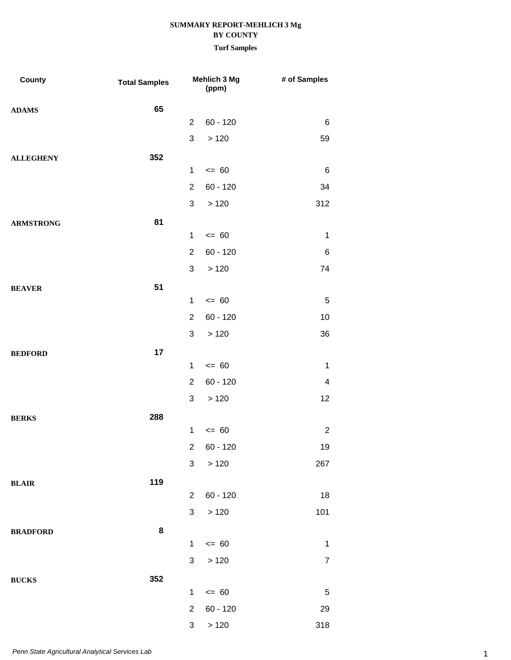| County           | <b>Total Samples</b> |                | Mehlich 3 Mg<br>(ppm) | # of Samples            |
|------------------|----------------------|----------------|-----------------------|-------------------------|
| <b>ADAMS</b>     | 65                   |                |                       |                         |
|                  |                      | $\overline{2}$ | $60 - 120$            | 6                       |
|                  |                      | 3              | >120                  | 59                      |
| <b>ALLEGHENY</b> | 352                  |                |                       |                         |
|                  |                      | $\mathbf{1}$   | $= 60$                | 6                       |
|                  |                      | $\overline{2}$ | $60 - 120$            | 34                      |
|                  |                      | 3              | >120                  | 312                     |
| <b>ARMSTRONG</b> | 81                   |                |                       |                         |
|                  |                      | $\mathbf 1$    | $= 60$                | $\mathbf 1$             |
|                  |                      | $\overline{2}$ | $60 - 120$            | 6                       |
|                  |                      | 3              | >120                  | 74                      |
| <b>BEAVER</b>    | 51                   |                |                       |                         |
|                  |                      | $\mathbf{1}$   | $= 60$                | 5                       |
|                  |                      | $\overline{2}$ | $60 - 120$            | 10                      |
|                  |                      | 3              | >120                  | 36                      |
| <b>BEDFORD</b>   | 17                   |                |                       |                         |
|                  |                      | $\mathbf 1$    | $= 60$                | $\mathbf 1$             |
|                  |                      | $\overline{2}$ | $60 - 120$            | $\overline{\mathbf{4}}$ |
|                  |                      | 3              | >120                  | 12                      |
| <b>BERKS</b>     | 288                  |                |                       |                         |
|                  |                      | $\mathbf 1$    | $= 60$                | $\boldsymbol{2}$        |
|                  |                      | $2^{\circ}$    | $60 - 120$            | 19                      |
|                  |                      | 3              | >120                  | 267                     |
| <b>BLAIR</b>     | 119                  |                |                       |                         |
|                  |                      | $\overline{2}$ | $60 - 120$            | 18                      |
|                  |                      | $\mathbf{3}$   | $>120$                | 101                     |
| <b>BRADFORD</b>  | 8                    |                |                       |                         |
|                  |                      | $\mathbf{1}$   | $\leq$ 60             | $\mathbf 1$             |
|                  |                      | $\mathfrak{S}$ | >120                  | $\overline{7}$          |
| <b>BUCKS</b>     | 352                  |                |                       |                         |
|                  |                      | $\mathbf{1}$   | $= 60$                | $\,$ 5 $\,$             |
|                  |                      | $\overline{2}$ | $60 - 120$            | 29                      |
|                  |                      | 3 <sup>7</sup> | >120                  | 318                     |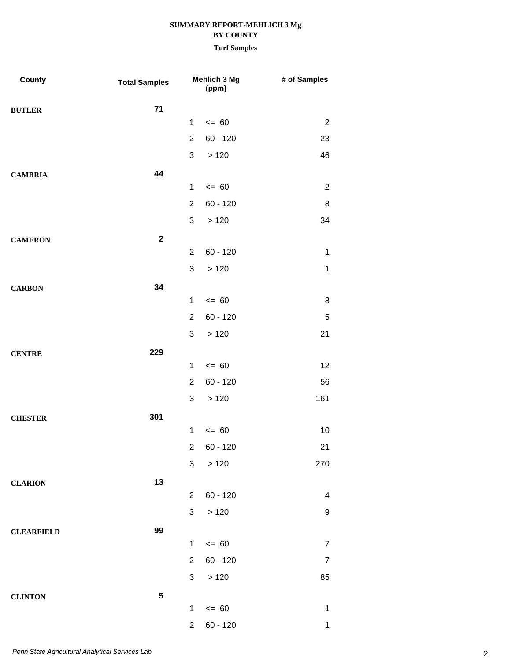| County            | <b>Total Samples</b> |                | Mehlich 3 Mg<br>(ppm) | # of Samples     |
|-------------------|----------------------|----------------|-----------------------|------------------|
| <b>BUTLER</b>     | $71$                 |                |                       |                  |
|                   |                      | $\mathbf{1}$   | $= 60$                | $\overline{2}$   |
|                   |                      | $\overline{2}$ | $60 - 120$            | 23               |
|                   |                      | 3              | >120                  | 46               |
| <b>CAMBRIA</b>    | 44                   |                |                       |                  |
|                   |                      | $\mathbf 1$    | $= 60$                | $\overline{2}$   |
|                   |                      | $\overline{2}$ | $60 - 120$            | 8                |
|                   |                      | 3              | >120                  | 34               |
| <b>CAMERON</b>    | $\mathbf{2}$         |                |                       |                  |
|                   |                      | $\overline{2}$ | $60 - 120$            | 1                |
|                   |                      | 3              | >120                  | 1                |
| <b>CARBON</b>     | 34                   |                |                       |                  |
|                   |                      | $\mathbf 1$    | $= 60$                | 8                |
|                   |                      | $\overline{2}$ | $60 - 120$            | 5                |
|                   |                      | 3              | >120                  | 21               |
| <b>CENTRE</b>     | 229                  |                |                       |                  |
|                   |                      | $\mathbf 1$    | $= 60$                | 12               |
|                   |                      | $\overline{2}$ | $60 - 120$            | 56               |
|                   |                      | 3              | >120                  | 161              |
| <b>CHESTER</b>    | 301                  |                |                       |                  |
|                   |                      | $\mathbf 1$    | $= 60$                | 10               |
|                   |                      |                | $2 60 - 120$          | 21               |
|                   |                      | 3              | >120                  | 270              |
| <b>CLARION</b>    | 13                   |                |                       |                  |
|                   |                      | $\overline{2}$ | $60 - 120$            | $\overline{4}$   |
|                   |                      | 3              | >120                  | 9                |
| <b>CLEARFIELD</b> | 99                   |                |                       |                  |
|                   |                      | $\mathbf{1}$   | $\leq$ 60             | $\boldsymbol{7}$ |
|                   |                      | $\overline{2}$ | $60 - 120$            | $\overline{7}$   |
|                   |                      | 3              | >120                  | 85               |
| <b>CLINTON</b>    | ${\bf 5}$            |                |                       |                  |
|                   |                      | $\mathbf{1}$   | $\leq$ 60             | $\mathbf 1$      |
|                   |                      | $\overline{c}$ | $60 - 120$            | 1                |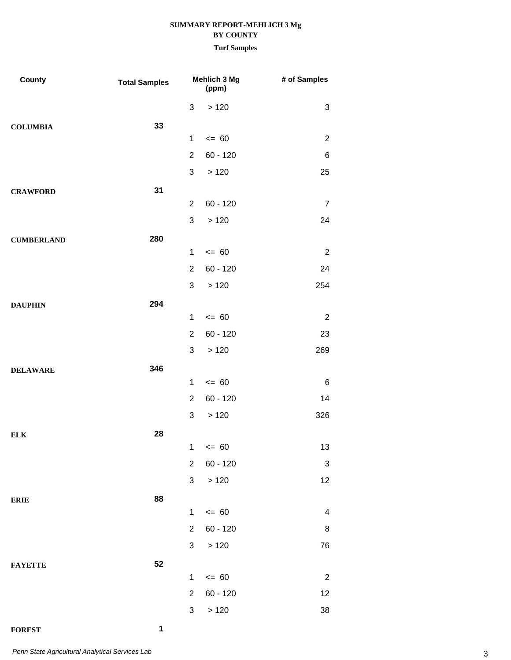## **Turf Samples**

| County            | <b>Total Samples</b> |                | Mehlich 3 Mg<br>(ppm) | # of Samples            |
|-------------------|----------------------|----------------|-----------------------|-------------------------|
|                   |                      | 3              | >120                  | 3                       |
| <b>COLUMBIA</b>   | 33                   |                |                       |                         |
|                   |                      | $\mathbf{1}$   | $= 60$                | $\overline{2}$          |
|                   |                      | $\overline{2}$ | $60 - 120$            | 6                       |
|                   |                      | 3              | >120                  | 25                      |
| <b>CRAWFORD</b>   | 31                   |                |                       |                         |
|                   |                      | $\overline{2}$ | $60 - 120$            | $\overline{7}$          |
|                   |                      | 3              | >120                  | 24                      |
| <b>CUMBERLAND</b> | 280                  |                |                       |                         |
|                   |                      | $\mathbf{1}$   | $= 60$                | $\overline{2}$          |
|                   |                      | $\overline{2}$ | $60 - 120$            | 24                      |
|                   |                      | 3              | >120                  | 254                     |
| <b>DAUPHIN</b>    | 294                  | $\mathbf{1}$   | $= 60$                | $\overline{2}$          |
|                   |                      | $\overline{2}$ | $60 - 120$            | 23                      |
|                   |                      | 3              | >120                  | 269                     |
|                   | 346                  |                |                       |                         |
| <b>DELAWARE</b>   |                      | $\mathbf{1}$   | $= 60$                | 6                       |
|                   |                      | $\overline{2}$ | $60 - 120$            | 14                      |
|                   |                      | 3              | >120                  | 326                     |
| ${\bf ELK}$       | 28                   |                |                       |                         |
|                   |                      |                | $1 \le 60$            | 13                      |
|                   |                      | $\overline{2}$ | $60 - 120$            | 3                       |
|                   |                      | 3              | >120                  | 12                      |
| <b>ERIE</b>       | 88                   |                |                       |                         |
|                   |                      | $\mathbf{1}$   | $= 60$                | $\overline{\mathbf{4}}$ |
|                   |                      | $\overline{2}$ | $60 - 120$            | 8                       |
|                   |                      | 3              | >120                  | 76                      |
| <b>FAYETTE</b>    | 52                   |                |                       |                         |
|                   |                      | $\mathbf{1}$   | $= 60$                | $\overline{2}$          |
|                   |                      | $\overline{2}$ | $60 - 120$            | 12                      |
|                   |                      | 3              | >120                  | 38                      |

# **FOREST 1**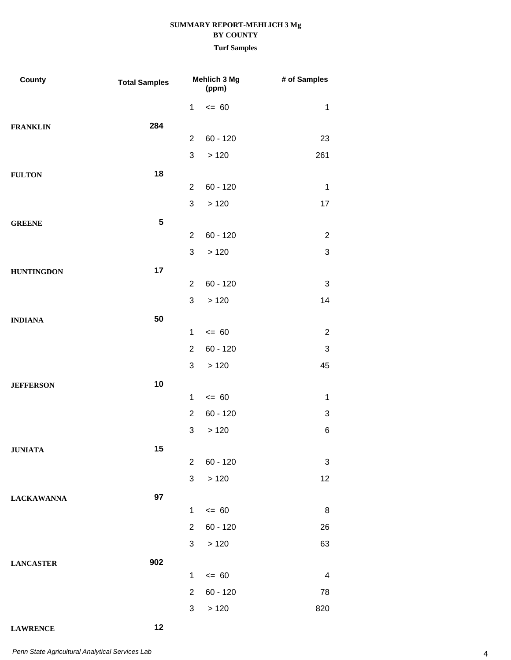## **Turf Samples**

| County            | <b>Total Samples</b> |                | Mehlich 3 Mg<br>(ppm) | # of Samples              |
|-------------------|----------------------|----------------|-----------------------|---------------------------|
|                   |                      | $\mathbf{1}$   | $= 60$                | $\mathbf 1$               |
| <b>FRANKLIN</b>   | 284                  |                |                       |                           |
|                   |                      | $\overline{2}$ | $60 - 120$            | 23                        |
|                   |                      | 3              | >120                  | 261                       |
| <b>FULTON</b>     | 18                   |                |                       |                           |
|                   |                      | $\overline{2}$ | $60 - 120$            | $\mathbf 1$               |
|                   |                      | 3              | >120                  | 17                        |
| <b>GREENE</b>     | ${\bf 5}$            |                |                       |                           |
|                   |                      | $\overline{2}$ | $60 - 120$            | $\mathbf 2$               |
|                   |                      | $\sqrt{3}$     | >120                  | $\ensuremath{\mathsf{3}}$ |
| <b>HUNTINGDON</b> | 17                   | $\overline{2}$ | $60 - 120$            | $\ensuremath{\mathsf{3}}$ |
|                   |                      | 3              | >120                  | 14                        |
|                   | 50                   |                |                       |                           |
| <b>INDIANA</b>    |                      | $\mathbf 1$    | $= 60$                | $\overline{2}$            |
|                   |                      | $\overline{2}$ | $60 - 120$            | $\ensuremath{\mathsf{3}}$ |
|                   |                      | 3              | >120                  | 45                        |
| <b>JEFFERSON</b>  | 10                   |                |                       |                           |
|                   |                      | $\mathbf 1$    | $= 60$                | $\mathbf 1$               |
|                   |                      | $\overline{2}$ | $60 - 120$            | 3                         |
|                   |                      | 3              | >120                  | 6                         |
| <b>JUNIATA</b>    | 15                   |                |                       |                           |
|                   |                      | $\overline{2}$ | $60 - 120$            | 3                         |
|                   |                      | 3              | >120                  | 12                        |
| <b>LACKAWANNA</b> | 97                   |                |                       |                           |
|                   |                      | $\mathbf 1$    | $= 60$                | 8                         |
|                   |                      | $\overline{2}$ | $60 - 120$            | 26                        |
|                   |                      | 3              | >120                  | 63                        |
| <b>LANCASTER</b>  | 902                  |                |                       |                           |
|                   |                      | $\mathbf 1$    | $\leq 60$             | $\overline{\mathbf{4}}$   |
|                   |                      | $\overline{2}$ | $60 - 120$            | 78                        |
|                   |                      | 3              | >120                  | 820                       |

## **LAWRENCE 12**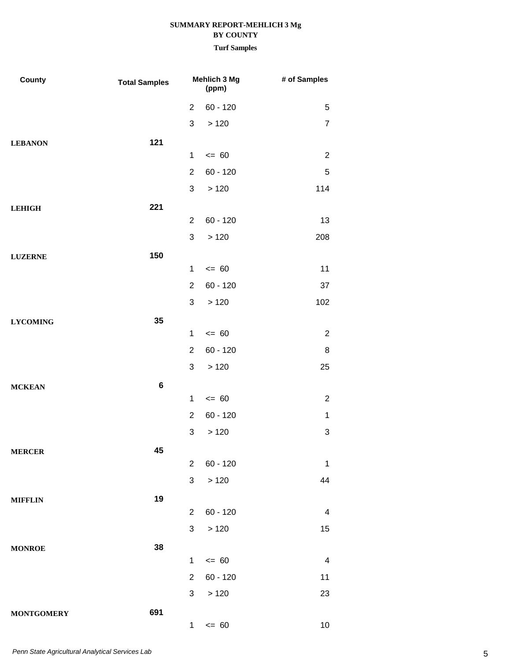| County            | <b>Total Samples</b> |                | Mehlich 3 Mg<br>(ppm) | # of Samples              |
|-------------------|----------------------|----------------|-----------------------|---------------------------|
|                   |                      | $\overline{2}$ | $60 - 120$            | 5                         |
|                   |                      | 3              | >120                  | $\overline{7}$            |
| <b>LEBANON</b>    | 121                  |                |                       |                           |
|                   |                      | $\mathbf{1}$   | $= 60$                | $\overline{2}$            |
|                   |                      | $\overline{2}$ | $60 - 120$            | $\mathbf 5$               |
|                   |                      | 3              | >120                  | 114                       |
| <b>LEHIGH</b>     | 221                  |                |                       |                           |
|                   |                      | 2              | $60 - 120$            | 13                        |
|                   |                      | 3              | >120                  | 208                       |
| <b>LUZERNE</b>    | 150                  |                |                       |                           |
|                   |                      | $\mathbf 1$    | $= 60$                | 11                        |
|                   |                      | $\overline{2}$ | $60 - 120$            | 37                        |
|                   |                      | 3              | >120                  | 102                       |
| <b>LYCOMING</b>   | 35                   |                |                       |                           |
|                   |                      | 1              | $= 60$                | $\overline{2}$            |
|                   |                      | $\overline{2}$ | $60 - 120$            | 8                         |
|                   |                      | 3              | >120                  | 25                        |
| <b>MCKEAN</b>     | $\bf 6$              |                |                       |                           |
|                   |                      | 1              | $= 60$                | $\overline{2}$            |
|                   |                      | $\overline{2}$ | $60 - 120$            | $\mathbf{1}$              |
|                   |                      | 3              | >120                  | $\ensuremath{\mathsf{3}}$ |
| <b>MERCER</b>     | 45                   | $\overline{2}$ | $60 - 120$            | 1                         |
|                   |                      | 3              | >120                  | 44                        |
|                   |                      |                |                       |                           |
| <b>MIFFLIN</b>    | 19                   | $\overline{2}$ | $60 - 120$            | $\overline{4}$            |
|                   |                      | 3              | >120                  | 15                        |
|                   | 38                   |                |                       |                           |
| <b>MONROE</b>     |                      | $\mathbf 1$    | $= 60$                | $\overline{\mathbf{4}}$   |
|                   |                      | $\overline{2}$ | $60 - 120$            | 11                        |
|                   |                      | 3              | >120                  | 23                        |
| <b>MONTGOMERY</b> | 691                  |                |                       |                           |
|                   |                      | 1              | $= 60$                | 10                        |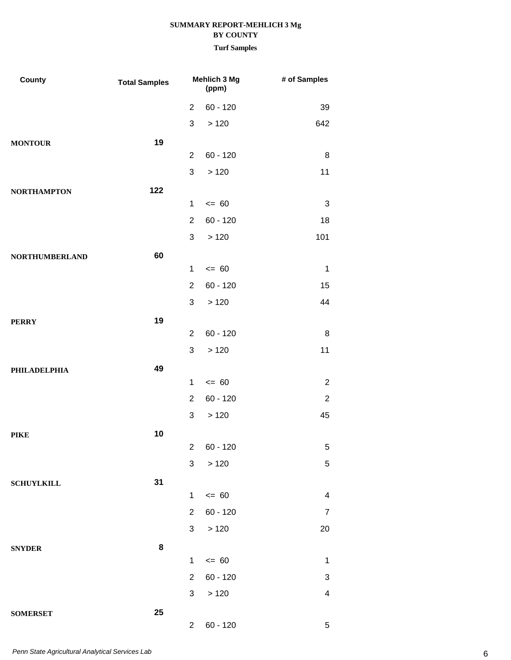| County                | <b>Total Samples</b> |                | Mehlich 3 Mg<br>(ppm) | # of Samples            |
|-----------------------|----------------------|----------------|-----------------------|-------------------------|
|                       |                      | $\overline{2}$ | $60 - 120$            | 39                      |
|                       |                      | 3              | >120                  | 642                     |
| <b>MONTOUR</b>        | 19                   |                |                       |                         |
|                       |                      | $\overline{2}$ | $60 - 120$            | 8                       |
|                       |                      | 3              | >120                  | 11                      |
| <b>NORTHAMPTON</b>    | 122                  |                |                       |                         |
|                       |                      | 1              | $= 60$                | 3                       |
|                       |                      | $\overline{2}$ | $60 - 120$            | 18                      |
|                       |                      | 3              | >120                  | 101                     |
| <b>NORTHUMBERLAND</b> | 60                   |                |                       |                         |
|                       |                      | $\mathbf 1$    | $= 60$                | $\mathbf{1}$            |
|                       |                      | $\overline{2}$ | $60 - 120$            | 15                      |
|                       |                      | 3              | >120                  | 44                      |
| <b>PERRY</b>          | 19                   |                |                       |                         |
|                       |                      | $\overline{2}$ | $60 - 120$            | 8                       |
|                       |                      | 3              | >120                  | 11                      |
| <b>PHILADELPHIA</b>   | 49                   |                |                       |                         |
|                       |                      | $\mathbf 1$    | $= 60$                | $\overline{2}$          |
|                       |                      | 2              | $60 - 120$            | $\mathbf 2$             |
|                       |                      | 3              | >120                  | 45                      |
| <b>PIKE</b>           | 10                   |                |                       |                         |
|                       |                      | 3 <sup>1</sup> | 2 60 - 120            | $\overline{5}$<br>5     |
|                       |                      |                | $>120$                |                         |
| <b>SCHUYLKILL</b>     | 31                   | $\mathbf{1}$   | $\leq$ 60             | 4                       |
|                       |                      | $\overline{2}$ | $60 - 120$            | $\overline{7}$          |
|                       |                      | 3 <sup>1</sup> | >120                  | 20                      |
|                       |                      |                |                       |                         |
| <b>SNYDER</b>         | 8                    | $\mathbf{1}$   | $\leq 60$             | $\mathbf 1$             |
|                       |                      | $\overline{2}$ | $60 - 120$            | 3                       |
|                       |                      | 3 <sup>1</sup> | >120                  | $\overline{\mathbf{4}}$ |
| <b>SOMERSET</b>       | 25                   |                |                       |                         |
|                       |                      | $2^{\circ}$    | $60 - 120$            | 5                       |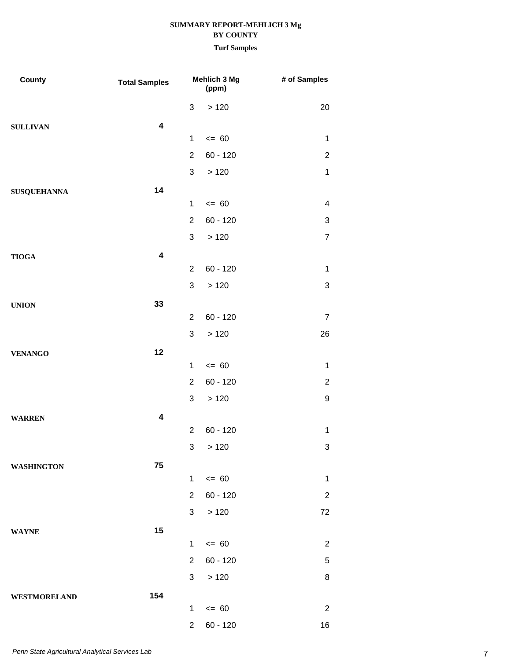| County             | <b>Total Samples</b>    |                | Mehlich 3 Mg<br>(ppm) | # of Samples   |
|--------------------|-------------------------|----------------|-----------------------|----------------|
|                    |                         | 3              | >120                  | 20             |
| <b>SULLIVAN</b>    | $\overline{\mathbf{4}}$ |                |                       |                |
|                    |                         | $\mathbf{1}$   | $= 60$                | $\mathbf{1}$   |
|                    |                         | $\overline{2}$ | $60 - 120$            | $\overline{c}$ |
|                    |                         | 3              | >120                  | $\mathbf{1}$   |
| <b>SUSQUEHANNA</b> | 14                      |                |                       |                |
|                    |                         | $\mathbf{1}$   | $= 60$                | 4              |
|                    |                         | $\overline{2}$ | $60 - 120$            | 3              |
|                    |                         | 3              | >120                  | $\overline{7}$ |
| <b>TIOGA</b>       | $\overline{\mathbf{4}}$ |                |                       |                |
|                    |                         | $\overline{2}$ | $60 - 120$            | $\mathbf{1}$   |
|                    |                         | 3              | >120                  | 3              |
| <b>UNION</b>       | 33                      |                |                       |                |
|                    |                         | $\overline{2}$ | $60 - 120$            | $\overline{7}$ |
|                    |                         | 3              | >120                  | 26             |
| <b>VENANGO</b>     | 12                      |                |                       |                |
|                    |                         | $\mathbf{1}$   | $= 60$                | 1              |
|                    |                         | $\overline{2}$ | $60 - 120$            | $\overline{2}$ |
|                    |                         | 3              | >120                  | 9              |
| <b>WARREN</b>      | $\overline{\mathbf{4}}$ |                |                       |                |
|                    |                         | $\overline{2}$ | $60 - 120$            | $\mathbf{1}$   |
|                    |                         |                | 3 > 120               | 3              |
| <b>WASHINGTON</b>  | 75                      |                |                       |                |
|                    |                         | $\mathbf 1$    | $= 60$                | $\mathbf{1}$   |
|                    |                         | $\overline{2}$ | $60 - 120$            | $\overline{2}$ |
|                    |                         | 3              | >120                  | 72             |
| <b>WAYNE</b>       | 15                      |                |                       |                |
|                    |                         | $\mathbf{1}$   | $\leq 60$             | $\overline{c}$ |
|                    |                         | $\overline{2}$ | $60 - 120$            | 5              |
|                    |                         | 3              | >120                  | 8              |
| WESTMORELAND       | 154                     |                |                       |                |
|                    |                         | $\mathbf{1}$   | $= 60$                | $\overline{2}$ |
|                    |                         | $\overline{2}$ | $60 - 120$            | 16             |